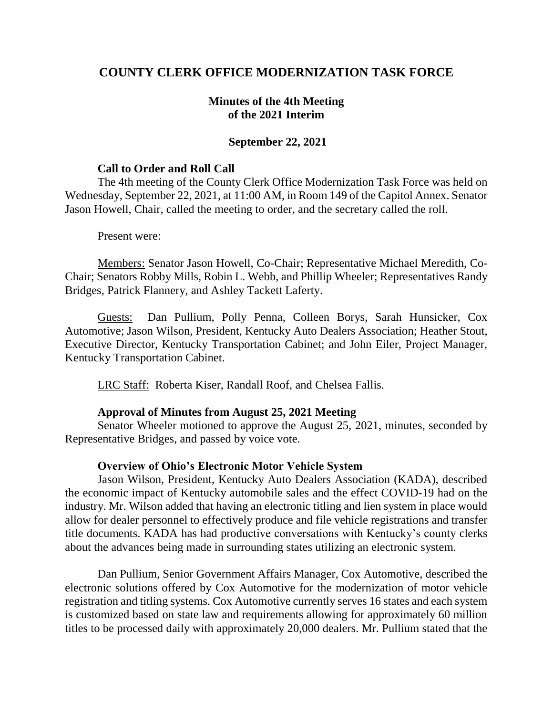# **COUNTY CLERK OFFICE MODERNIZATION TASK FORCE**

# **Minutes of the 4th Meeting of the 2021 Interim**

### **September 22, 2021**

#### **Call to Order and Roll Call**

The 4th meeting of the County Clerk Office Modernization Task Force was held on Wednesday, September 22, 2021, at 11:00 AM, in Room 149 of the Capitol Annex. Senator Jason Howell, Chair, called the meeting to order, and the secretary called the roll.

Present were:

Members: Senator Jason Howell, Co-Chair; Representative Michael Meredith, Co-Chair; Senators Robby Mills, Robin L. Webb, and Phillip Wheeler; Representatives Randy Bridges, Patrick Flannery, and Ashley Tackett Laferty.

Guests: Dan Pullium, Polly Penna, Colleen Borys, Sarah Hunsicker, Cox Automotive; Jason Wilson, President, Kentucky Auto Dealers Association; Heather Stout, Executive Director, Kentucky Transportation Cabinet; and John Eiler, Project Manager, Kentucky Transportation Cabinet.

LRC Staff: Roberta Kiser, Randall Roof, and Chelsea Fallis.

## **Approval of Minutes from August 25, 2021 Meeting**

Senator Wheeler motioned to approve the August 25, 2021, minutes, seconded by Representative Bridges, and passed by voice vote.

## **Overview of Ohio's Electronic Motor Vehicle System**

Jason Wilson, President, Kentucky Auto Dealers Association (KADA), described the economic impact of Kentucky automobile sales and the effect COVID-19 had on the industry. Mr. Wilson added that having an electronic titling and lien system in place would allow for dealer personnel to effectively produce and file vehicle registrations and transfer title documents. KADA has had productive conversations with Kentucky's county clerks about the advances being made in surrounding states utilizing an electronic system.

Dan Pullium, Senior Government Affairs Manager, Cox Automotive, described the electronic solutions offered by Cox Automotive for the modernization of motor vehicle registration and titling systems. Cox Automotive currently serves 16 states and each system is customized based on state law and requirements allowing for approximately 60 million titles to be processed daily with approximately 20,000 dealers. Mr. Pullium stated that the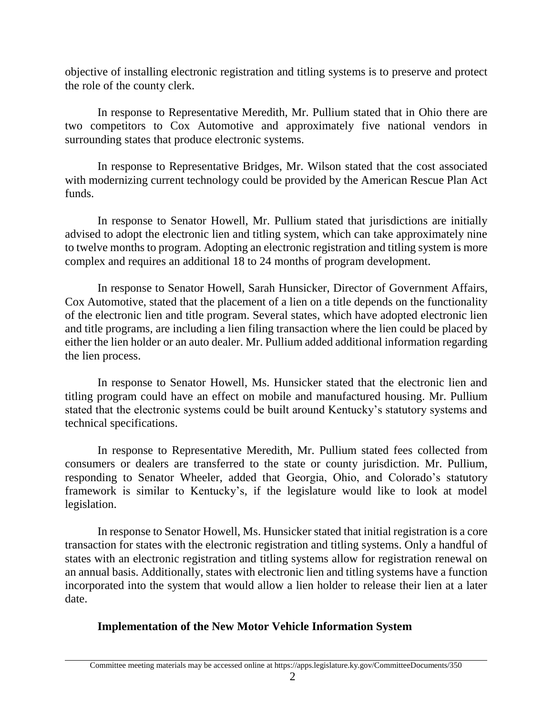objective of installing electronic registration and titling systems is to preserve and protect the role of the county clerk.

In response to Representative Meredith, Mr. Pullium stated that in Ohio there are two competitors to Cox Automotive and approximately five national vendors in surrounding states that produce electronic systems.

In response to Representative Bridges, Mr. Wilson stated that the cost associated with modernizing current technology could be provided by the American Rescue Plan Act funds.

In response to Senator Howell, Mr. Pullium stated that jurisdictions are initially advised to adopt the electronic lien and titling system, which can take approximately nine to twelve months to program. Adopting an electronic registration and titling system is more complex and requires an additional 18 to 24 months of program development.

In response to Senator Howell, Sarah Hunsicker, Director of Government Affairs, Cox Automotive, stated that the placement of a lien on a title depends on the functionality of the electronic lien and title program. Several states, which have adopted electronic lien and title programs, are including a lien filing transaction where the lien could be placed by either the lien holder or an auto dealer. Mr. Pullium added additional information regarding the lien process.

In response to Senator Howell, Ms. Hunsicker stated that the electronic lien and titling program could have an effect on mobile and manufactured housing. Mr. Pullium stated that the electronic systems could be built around Kentucky's statutory systems and technical specifications.

In response to Representative Meredith, Mr. Pullium stated fees collected from consumers or dealers are transferred to the state or county jurisdiction. Mr. Pullium, responding to Senator Wheeler, added that Georgia, Ohio, and Colorado's statutory framework is similar to Kentucky's, if the legislature would like to look at model legislation.

In response to Senator Howell, Ms. Hunsicker stated that initial registration is a core transaction for states with the electronic registration and titling systems. Only a handful of states with an electronic registration and titling systems allow for registration renewal on an annual basis. Additionally, states with electronic lien and titling systems have a function incorporated into the system that would allow a lien holder to release their lien at a later date.

# **Implementation of the New Motor Vehicle Information System**